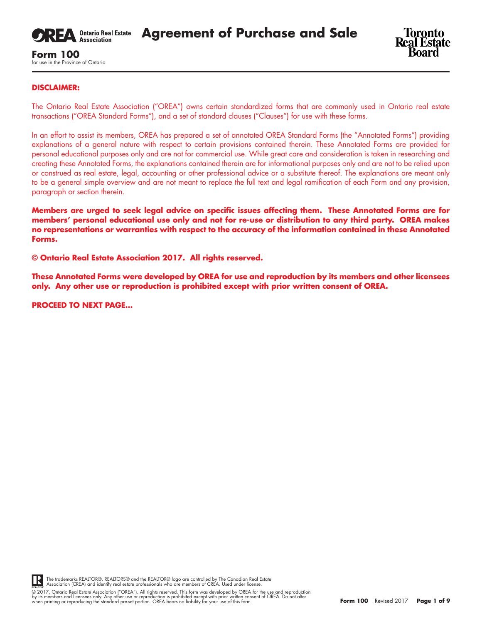

## **Agreement of Purchase and Sale**

### **Form 100** for use in the Province of Ontario

#### **DISCLAIMER:**

The Ontario Real Estate Association ("OREA") owns certain standardized forms that are commonly used in Ontario real estate transactions ("OREA Standard Forms"), and a set of standard clauses ("Clauses") for use with these forms.

In an effort to assist its members, OREA has prepared a set of annotated OREA Standard Forms (the "Annotated Forms") providing explanations of a general nature with respect to certain provisions contained therein. These Annotated Forms are provided for personal educational purposes only and are not for commercial use. While great care and consideration is taken in researching and creating these Annotated Forms, the explanations contained therein are for informational purposes only and are not to be relied upon or construed as real estate, legal, accounting or other professional advice or a substitute thereof. The explanations are meant only to be a general simple overview and are not meant to replace the full text and legal ramification of each Form and any provision, paragraph or section therein.

**Members are urged to seek legal advice on specific issues affecting them. These Annotated Forms are for members' personal educational use only and not for re-use or distribution to any third party. OREA makes no representations or warranties with respect to the accuracy of the information contained in these Annotated Forms.**

**© Ontario Real Estate Association 2017. All rights reserved.** 

**These Annotated Forms were developed by OREA for use and reproduction by its members and other licensees only. Any other use or reproduction is prohibited except with prior written consent of OREA.**

**PROCEED TO NEXT PAGE…**



The trademarks REALTOR®, REALTORS® and the REALTOR® logo are controlled by The Canadian Real Estate Association (CREA) and identify real estate professionals who are members of CREA. Used under license.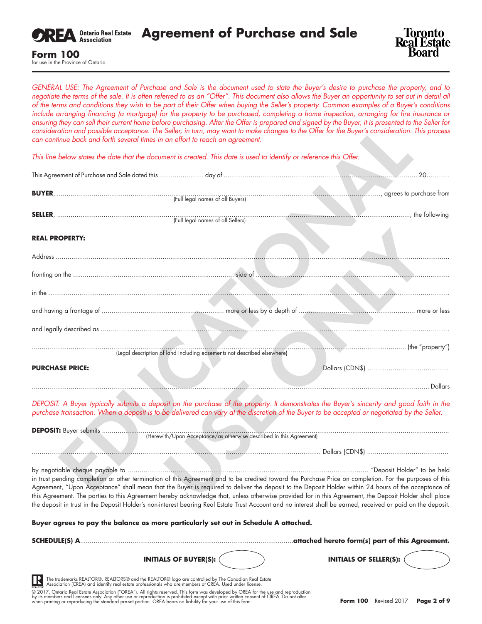|  | <b>OREA</b> Ontario Real Estate |
|--|---------------------------------|
|--|---------------------------------|

**Agreement of Purchase and Sale**

**Form 100** for use in the Province of Ontario

*GENERAL USE: The Agreement of Purchase and Sale is the document used to state the Buyer's desire to purchase the property, and to negotiate the terms of the sale. It is often referred to as an "Offer". This document also allows the Buyer an opportunity to set out in detail all of the terms and conditions they wish to be part of their Offer when buying the Seller's property. Common examples of a Buyer's conditions include arranging financing (a mortgage) for the property to be purchased, completing a home inspection, arranging for fire insurance or ensuring they can sell their current home before purchasing. After the Offer is prepared and signed by the Buyer, it is presented to the Seller for consideration and possible acceptance. The Seller, in turn, may want to make changes to the Offer for the Buyer's consideration. This process can continue back and forth several times in an effort to reach an agreement.*

| can continue back and forth several times in an effort to reach an agreement. | consideration and possible acceptance. The Seller, in turn, may want to make changes to the Offer for the Buyer's consideration. This process                                                                                                                                                                  |  |
|-------------------------------------------------------------------------------|----------------------------------------------------------------------------------------------------------------------------------------------------------------------------------------------------------------------------------------------------------------------------------------------------------------|--|
|                                                                               | This line below states the date that the document is created. This date is used to identify or reference this Offer.                                                                                                                                                                                           |  |
|                                                                               |                                                                                                                                                                                                                                                                                                                |  |
|                                                                               |                                                                                                                                                                                                                                                                                                                |  |
|                                                                               |                                                                                                                                                                                                                                                                                                                |  |
| <b>REAL PROPERTY:</b>                                                         |                                                                                                                                                                                                                                                                                                                |  |
|                                                                               |                                                                                                                                                                                                                                                                                                                |  |
|                                                                               |                                                                                                                                                                                                                                                                                                                |  |
|                                                                               |                                                                                                                                                                                                                                                                                                                |  |
|                                                                               |                                                                                                                                                                                                                                                                                                                |  |
|                                                                               |                                                                                                                                                                                                                                                                                                                |  |
|                                                                               |                                                                                                                                                                                                                                                                                                                |  |
| <b>PURCHASE PRICE:</b>                                                        |                                                                                                                                                                                                                                                                                                                |  |
|                                                                               |                                                                                                                                                                                                                                                                                                                |  |
|                                                                               | DEPOSIT: A Buyer typically submits a deposit on the purchase of the property. It demonstrates the Buyer's sincerity and good faith in the<br>purchase transaction. When a deposit is to be delivered can vary at the discretion of the Buyer to be accepted or negotiated by the Seller.                       |  |
|                                                                               | (Herewith/Upon Acceptance/as otherwise described in this Agreement)                                                                                                                                                                                                                                            |  |
|                                                                               |                                                                                                                                                                                                                                                                                                                |  |
|                                                                               | in trust pending completion or other termination of this Agreement and to be credited toward the Purchase Price on completion. For the purposes of this                                                                                                                                                        |  |
|                                                                               | Agreement, "Upon Acceptance" shall mean that the Buyer is required to deliver the deposit to the Deposit Holder within 24 hours of the acceptance of<br>this Agreement. The parties to this Agreement hereby acknowledge that, unless otherwise provided for in this Agreement, the Deposit Holder shall place |  |

| <b>DEPOSIT:</b> Buyer submits |  |                                                                                                                                                         |
|-------------------------------|--|---------------------------------------------------------------------------------------------------------------------------------------------------------|
|                               |  |                                                                                                                                                         |
|                               |  |                                                                                                                                                         |
|                               |  |                                                                                                                                                         |
|                               |  |                                                                                                                                                         |
|                               |  | in trust pending completion or other termination of this Agreement and to be credited toward the Purchase Price on completion. For the purposes of this |
|                               |  | Agreement, "Upon Acceptance" shall mean that the Buyer is required to deliver the deposit to the Deposit Holder within 24 hours of the acceptance of    |
|                               |  | the contract of the contract of the contract of the contract of the contract of the contract of the contract of                                         |

this Agreement. The parties to this Agreement hereby acknowledge that, unless otherwise provided for in this Agreement, the Deposit Holder shall place the deposit in trust in the Deposit Holder's non-interest bearing Real Estate Trust Account and no interest shall be earned, received or paid on the deposit.

**Buyer agrees to pay the balance as more particularly set out in Schedule A attached.**

**SCHEDULE(S) A**..............................................................................................................**attached hereto form(s) part of this Agreement.**

LK

**INITIALS OF BUYER(S):**  $($ 

The trademarks REALTOR®, REALTORS® and the REALTOR® logo are controlled by The Canadian Real Estate Association (CREA) and identify real estate professionals who are members of CREA. Used under license.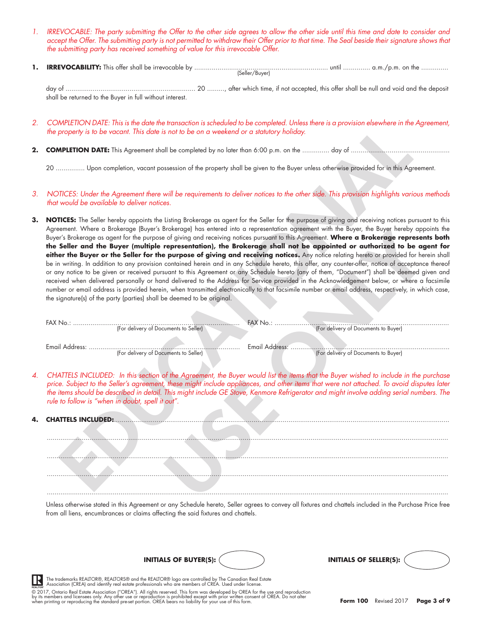- *1. IRREVOCABLE: The party submitting the Offer to the other side agrees to allow the other side until this time and date to consider and*  accept the Offer. The submitting party is not permitted to withdraw their Offer prior to that time. The Seal beside their signature shows that *the submitting party has received something of value for this irrevocable Offer.*
- **1. IRREVOCABILITY:** This offer shall be irrevocable by ..................................................................... until .............. a.m./p.m. on the .............. (Seller/Buyer)

day of ................................................................... 20 ........., after which time, if not accepted, this offer shall be null and void and the deposit shall be returned to the Buyer in full without interest.

- *2. COMPLETION DATE: This is the date the transaction is scheduled to be completed. Unless there is a provision elsewhere in the Agreement, the property is to be vacant. This date is not to be on a weekend or a statutory holiday.*
- **2. COMPLETION DATE:** This Agreement shall be completed by no later than 6:00 p.m. on the .............. day of ...................................................

20 ............... Upon completion, vacant possession of the property shall be given to the Buyer unless otherwise provided for in this Agreement.

- *3. NOTICES: Under the Agreement there will be requirements to deliver notices to the other side. This provision highlights various methods that would be available to deliver notices.*
- encept to to be vectoral that be to a second for a second of a stability, heliday, and yet also the second for a stability heliday, and the maximum of the second for a stability in the second of the second for a stability **3. NOTICES:** The Seller hereby appoints the Listing Brokerage as agent for the Seller for the purpose of giving and receiving notices pursuant to this Agreement. Where a Brokerage (Buyer's Brokerage) has entered into a representation agreement with the Buyer, the Buyer hereby appoints the Buyer's Brokerage as agent for the purpose of giving and receiving notices pursuant to this Agreement. **Where a Brokerage represents both the Seller and the Buyer (multiple representation), the Brokerage shall not be appointed or authorized to be agent for**  either the Buyer or the Seller for the purpose of giving and receiving notices. Any notice relating hereto or provided for herein shall be in writing. In addition to any provision contained herein and in any Schedule hereto, this offer, any counter-offer, notice of acceptance thereof or any notice to be given or received pursuant to this Agreement or any Schedule hereto (any of them, "Document") shall be deemed given and received when delivered personally or hand delivered to the Address for Service provided in the Acknowledgement below, or where a facsimile number or email address is provided herein, when transmitted electronically to that facsimile number or email address, respectively, in which case, the signature(s) of the party (parties) shall be deemed to be original.

| $FAX$ $No.$    |                                       | $FAX N_0$ .    |                                      |
|----------------|---------------------------------------|----------------|--------------------------------------|
|                | (For delivery of Documents to Seller) |                | (For delivery of Documents to Buyer) |
| Email Address: |                                       | Email Address: |                                      |
|                | (For delivery of Documents to Seller) |                | (For delivery of Documents to Buyer) |
|                |                                       |                |                                      |

|    | Agreement. Where a Brokerage (Buyer's Brokerage) has entered into a representation agreement with the Buyer, the Buyer hereby appoints the<br>Buyer's Brokerage as agent for the purpose of giving and receiving notices pursuant to this Agreement. Where a Brokerage represents both                                                                                                                                                                                                                                                                                                                                                                                                                                                                                                                                                                                                                                                                    |
|----|-----------------------------------------------------------------------------------------------------------------------------------------------------------------------------------------------------------------------------------------------------------------------------------------------------------------------------------------------------------------------------------------------------------------------------------------------------------------------------------------------------------------------------------------------------------------------------------------------------------------------------------------------------------------------------------------------------------------------------------------------------------------------------------------------------------------------------------------------------------------------------------------------------------------------------------------------------------|
|    | the Seller and the Buyer (multiple representation), the Brokerage shall not be appointed or authorized to be agent for<br>either the Buyer or the Seller for the purpose of giving and receiving notices. Any notice relating hereto or provided for herein shall<br>be in writing. In addition to any provision contained herein and in any Schedule hereto, this offer, any counter-offer, notice of acceptance thereof<br>or any notice to be given or received pursuant to this Agreement or any Schedule hereto (any of them, "Document") shall be deemed given and<br>received when delivered personally or hand delivered to the Address for Service provided in the Acknowledgement below, or where a facsimile<br>number or email address is provided herein, when transmitted electronically to that facsimile number or email address, respectively, in which case,<br>the signature(s) of the party (parties) shall be deemed to be original. |
|    | <b>FAX No.: </b><br>$\begin{array}{ll}\n\textsf{FAX No.}: \textit{} \textsf{} \textsf{} \textsf{} \textsf{} \textsf{} \textsf{} \textsf{} \textsf{} \textsf{} \textsf{} \textsf{} \textsf{} \textsf{} \textsf{} \textsf{} \textsf{} \textsf{} \textsf{} \textsf{} \textsf{} \textsf{} \textsf{} \textsf{} \textsf{} \textsf{} \textsf{} \textsf{} \textsf{} \textsf{} \textsf{} \textsf{} \textsf{} \textsf$<br>(For delivery of Documents to Buyer)                                                                                                                                                                                                                                                                                                                                                                                                                                                                                                      |
|    | Email Address:<br>(For delivery of Documents to Buyer)                                                                                                                                                                                                                                                                                                                                                                                                                                                                                                                                                                                                                                                                                                                                                                                                                                                                                                    |
| 4. | CHATTELS INCLUDED: In this section of the Agreement, the Buyer would list the items that the Buyer wished to include in the purchase<br>price. Subject to the Seller's agreement, these might include appliances, and other items that were not attached. To avoid disputes later<br>the items should be described in detail. This might include GE Stove, Kenmore Refrigerator and might involve adding serial numbers. The<br>rule to follow is "when in doubt, spell it out".                                                                                                                                                                                                                                                                                                                                                                                                                                                                          |
|    | <b>CHATTELS INCLUDED: </b>                                                                                                                                                                                                                                                                                                                                                                                                                                                                                                                                                                                                                                                                                                                                                                                                                                                                                                                                |
|    |                                                                                                                                                                                                                                                                                                                                                                                                                                                                                                                                                                                                                                                                                                                                                                                                                                                                                                                                                           |
|    |                                                                                                                                                                                                                                                                                                                                                                                                                                                                                                                                                                                                                                                                                                                                                                                                                                                                                                                                                           |
|    |                                                                                                                                                                                                                                                                                                                                                                                                                                                                                                                                                                                                                                                                                                                                                                                                                                                                                                                                                           |

Unless otherwise stated in this Agreement or any Schedule hereto, Seller agrees to convey all fixtures and chattels included in the Purchase Price free from all liens, encumbrances or claims affecting the said fixtures and chattels.





The trademarks REALTOR®, REALTORS® and the REALTOR® logo are controlled by The Canadian Real Estate Association (CREA) and identify real estate professionals who are members of CREA. Used under license.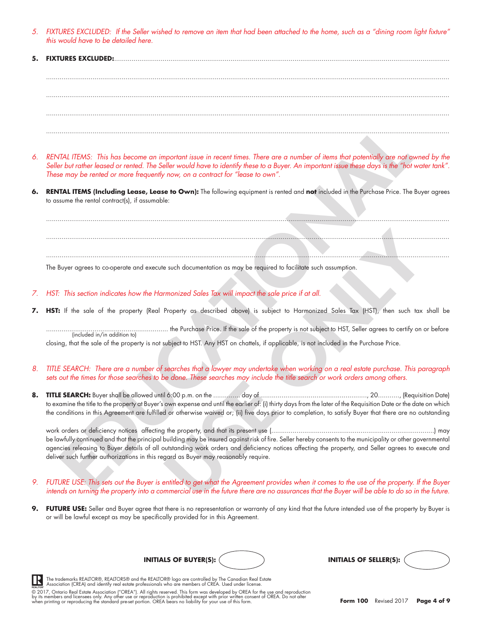*5. FIXTURES EXCLUDED: If the Seller wished to remove an item that had been attached to the home, such as a "dining room light fixture" this would have to be detailed here.* 

| <b>5. FIXTURES EXCLUDED:</b> |
|------------------------------|
|                              |
|                              |
|                              |
|                              |
|                              |
|                              |
|                              |
|                              |
|                              |

- *6. RENTAL ITEMS: This has become an important issue in recent times. There are a number of items that potentially are not owned by the Seller but rather leased or rented. The Seller would have to identify these to a Buyer. An important issue these days is the "hot water tank". These may be rented or more frequently now, on a contract for "lease to own".*
- **6. RENTAL ITEMS (Including Lease, Lease to Own):** The following equipment is rented and **not** included in the Purchase Price. The Buyer agrees to assume the rental contract(s), if assumable:

................................................................................................................................................................................................................

................................................................................................................................................................................................................

................................................................................................................................................................................................................ The Buyer agrees to co-operate and execute such documentation as may be required to facilitate such assumption.

- *7. HST: This section indicates how the Harmonized Sales Tax will impact the sale price if at all.*
- **7. HST:** If the sale of the property (Real Property as described above) is subject to Harmonized Sales Tax (HST), then such tax shall be

............................................................... the Purchase Price. If the sale of the property is not subject to HST, Seller agrees to certify on or before (included in/in addition to) closing, that the sale of the property is not subject to HST. Any HST on chattels, if applicable, is not included in the Purchase Price.

#### *8. TITLE SEARCH: There are a number of searches that a lawyer may undertake when working on a real estate purchase. This paragraph sets out the times for those searches to be done. These searches may include the title search or work orders among others.*

**8. TITLE SEARCH:** Buyer shall be allowed until 6:00 p.m. on the .............. day of ......................................................., 20..........., (Requisition Date) to examine the title to the property at Buyer's own expense and until the earlier of: (i) thirty days from the later of the Requisition Date or the date on which the conditions in this Agreement are fulfilled or otherwise waived or; (ii) five days prior to completion, to satisfy Buyer that there are no outstanding

ITAL ITEMS: This has become an important issue in recent times. There are a number of items that potentially last not of the most of the Seleir words the burstine in the Seleir words in the Seleir words are property to a c e such documentation as may be required to facilitate such assumption.<br>
The procedure of Scher Content of the sale price if at all.<br>
Property as described above) is subject to Harmonized Soles Tax (HST), then such tax<br>
... work orders or deficiency notices affecting the property, and that its present use (....................................................................................) may be lawfully continued and that the principal building may be insured against risk of fire. Seller hereby consents to the municipality or other governmental agencies releasing to Buyer details of all outstanding work orders and deficiency notices affecting the property, and Seller agrees to execute and deliver such further authorizations in this regard as Buyer may reasonably require.

- *9. FUTURE USE: This sets out the Buyer is entitled to get what the Agreement provides when it comes to the use of the property. If the Buyer intends on turning the property into a commercial use in the future there are no assurances that the Buyer will be able to do so in the future.*
- **9. FUTURE USE:** Seller and Buyer agree that there is no representation or warranty of any kind that the future intended use of the property by Buyer is or will be lawful except as may be specifically provided for in this Agreement.





The trademarks REALTOR®, REALTORS® and the REALTOR® logo are controlled by The Canadian Real Estate Association (CREA) and identify real estate professionals who are members of CREA. Used under license.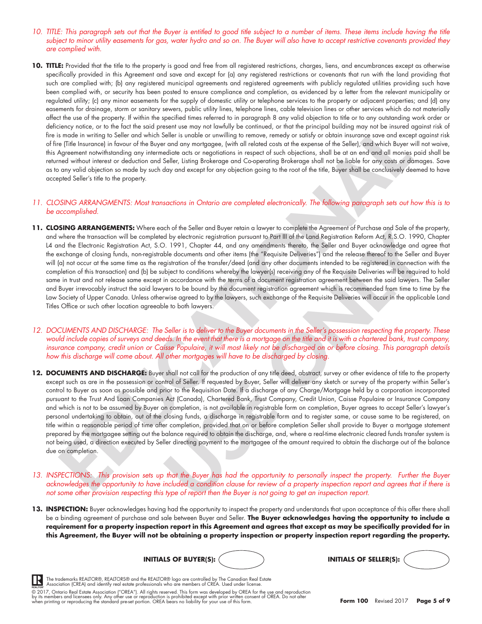- *10.* TITLE: This paragraph sets out that the Buyer is entitled to good title subject to a number of items. These items include having the title *subject to minor utility easements for gas, water hydro and so on. The Buyer will also have to accept restrictive covenants provided they are complied with.*
- **10. TITLE:** Provided that the title to the property is good and free from all registered restrictions, charges, liens, and encumbrances except as otherwise specifically provided in this Agreement and save and except for (a) any registered restrictions or covenants that run with the land providing that such are complied with; (b) any registered municipal agreements and registered agreements with publicly regulated utilities providing such have been complied with, or security has been posted to ensure compliance and completion, as evidenced by a letter from the relevant municipality or regulated utility; (c) any minor easements for the supply of domestic utility or telephone services to the property or adjacent properties; and (d) any easements for drainage, storm or sanitary sewers, public utility lines, telephone lines, cable television lines or other services which do not materially affect the use of the property. If within the specified times referred to in paragraph 8 any valid objection to title or to any outstanding work order or deficiency notice, or to the fact the said present use may not lawfully be continued, or that the principal building may not be insured against risk of fire is made in writing to Seller and which Seller is unable or unwilling to remove, remedy or satisfy or obtain insurance save and except against risk of fire (Title Insurance) in favour of the Buyer and any mortgagee, (with all related costs at the expense of the Seller), and which Buyer will not waive, this Agreement notwithstanding any intermediate acts or negotiations in respect of such objections, shall be at an end and all monies paid shall be returned without interest or deduction and Seller, Listing Brokerage and Co-operating Brokerage shall not be liable for any costs or damages. Save as to any valid objection so made by such day and except for any objection going to the root of the title, Buyer shall be conclusively deemed to have accepted Seller's title to the property.
- *11. CLOSING ARRANGMENTS: Most transactions in Ontario are completed electronically. The following paragraph sets out how this is to be accomplished.*
- 11. CLOSING ARRANGEMENTS: Where each of the Seller and Buyer retain a lawyer to complete the Agreement of Purchase and Sale of the property, and where the transaction will be completed by electronic registration pursuant to Part III of the Land Registration Reform Act, R.S.O. 1990, Chapter L4 and the Electronic Registration Act, S.O. 1991, Chapter 44, and any amendments thereto, the Seller and Buyer acknowledge and agree that the exchange of closing funds, non-registrable documents and other items (the "Requisite Deliveries") and the release thereof to the Seller and Buyer will (a) not occur at the same time as the registration of the transfer/deed (and any other documents intended to be registered in connection with the completion of this transaction) and (b) be subject to conditions whereby the lawyer(s) receiving any of the Requisite Deliveries will be required to hold same in trust and not release same except in accordance with the terms of a document registration agreement between the said lawyers. The Seller and Buyer irrevocably instruct the said lawyers to be bound by the document registration agreement which is recommended from time to time by the Law Society of Upper Canada. Unless otherwise agreed to by the lawyers, such exchange of the Requisite Deliveries will occur in the applicable Land Titles Office or such other location agreeable to both lawyers.
- *12. DOCUMENTS AND DISCHARGE: The Seller is to deliver to the Buyer documents in the Seller's possession respecting the property. These would include copies of surveys and deeds. In the event that there is a mortgage on the title and it is with a chartered bank, trust company, insurance company, credit union or Caisse Populaire, it will most likely not be discharged on or before closing. This paragraph details how this discharge will come about. All other mortgages will have to be discharged by closing.*
- inery walked in the basic transition and phease was real work by its continue, or that the pheak of the basic transition may not the interest of the basic transition may be a matter of the basic transition in the control o ch of the believe and buyer retain at lawyer for complete the Agreement of Purchase and Sale of the plane of the believe of the solar of the Selection cegistration pursuant to Partill of the Land Registration Redry Act, R. 12. DOCUMENTS AND DISCHARGE: Buyer shall not call for the production of any title deed, abstract, survey or other evidence of title to the property except such as are in the possession or control of Seller. If requested by Buyer, Seller will deliver any sketch or survey of the property within Seller's control to Buyer as soon as possible and prior to the Requisition Date. If a discharge of any Charge/Mortgage held by a corporation incorporated pursuant to the Trust And Loan Companies Act (Canada), Chartered Bank, Trust Company, Credit Union, Caisse Populaire or Insurance Company and which is not to be assumed by Buyer on completion, is not available in registrable form on completion, Buyer agrees to accept Seller's lawyer's personal undertaking to obtain, out of the closing funds, a discharge in registrable form and to register same, or cause same to be registered, on title within a reasonable period of time after completion, provided that on or before completion Seller shall provide to Buyer a mortgage statement prepared by the mortgagee setting out the balance required to obtain the discharge, and, where a real-time electronic cleared funds transfer system is not being used, a direction executed by Seller directing payment to the mortgagee of the amount required to obtain the discharge out of the balance due on completion.
- *13. INSPECTIONS: This provision sets up that the Buyer has had the opportunity to personally inspect the property. Further the Buyer acknowledges the opportunity to have included a condition clause for review of a property inspection report and agrees that if there is not some other provision respecting this type of report then the Buyer is not going to get an inspection report.*
- 13. **INSPECTION:** Buyer acknowledges having had the opportunity to inspect the property and understands that upon acceptance of this offer there shall be a binding agreement of purchase and sale between Buyer and Seller. **The Buyer acknowledges having the opportunity to include a requirement for a property inspection report in this Agreement and agrees that except as may be specifically provided for in this Agreement, the Buyer will not be obtaining a property inspection or property inspection report regarding the property.**





The trademarks REALTOR®, REALTORS® and the REALTOR® logo are controlled by The Canadian Real Estate Association (CREA) and identify real estate professionals who are members of CREA. Used under license.

IK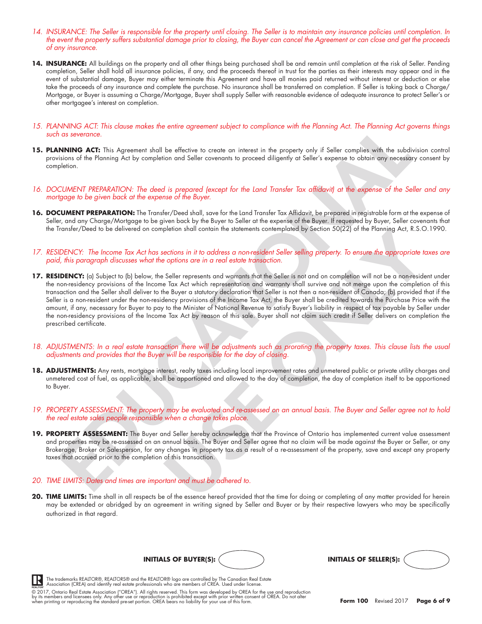- *14. INSURANCE: The Seller is responsible for the property until closing. The Seller is to maintain any insurance policies until completion. In the event the property suffers substantial damage prior to closing, the Buyer can cancel the Agreement or can close and get the proceeds of any insurance.*
- **14. INSURANCE:** All buildings on the property and all other things being purchased shall be and remain until completion at the risk of Seller. Pending completion, Seller shall hold all insurance policies, if any, and the proceeds thereof in trust for the parties as their interests may appear and in the event of substantial damage, Buyer may either terminate this Agreement and have all monies paid returned without interest or deduction or else take the proceeds of any insurance and complete the purchase. No insurance shall be transferred on completion. If Seller is taking back a Charge/ Mortgage, or Buyer is assuming a Charge/Mortgage, Buyer shall supply Seller with reasonable evidence of adequate insurance to protect Seller's or other mortgagee's interest on completion.
- *15. PLANNING ACT: This clause makes the entire agreement subject to compliance with the Planning Act. The Planning Act governs things such as severance.*
- **15. PLANNING ACT:** This Agreement shall be effective to create an interest in the property only if Seller complies with the subdivision control provisions of the Planning Act by completion and Seller covenants to proceed diligently at Seller's expense to obtain any necessary consent by completion.
- *16. DOCUMENT PREPARATION: The deed is prepared (except for the Land Transfer Tax affidavit) at the expense of the Seller and any mortgage to be given back at the expense of the Buyer.*
- **16. DOCUMENT PREPARATION:** The Transfer/Deed shall, save for the Land Transfer Tax Affidavit, be prepared in registrable form at the expense of Seller, and any Charge/Mortgage to be given back by the Buyer to Seller at the expense of the Buyer. If requested by Buyer, Seller covenants that the Transfer/Deed to be delivered on completion shall contain the statements contemplated by Section 50(22) of the Planning Act, R.S.O.1990.
- *17.* RESIDENCY: The Income Tax Act has sections in it to address a non-resident Seller selling property. To ensure the appropriate taxes are *paid, this paragraph discusses what the options are in a real estate transaction.*
- NYNNO ACC. The change motes the entire dependent subject to complete event the framing Act. The Homming Act particles Act This Agreement to the property only if Seller compatibility ACT lines (act This Agreement to the dis pletion shall contain the statements contemplated by Section 30(22) of the Planning Act, K.S.O<br>ections in it to address a non-resident Seller selling property. To ensure the appropriate to<br>episons are in a real estate tran **17. RESIDENCY:** (a) Subject to (b) below, the Seller represents and warrants that the Seller is not and on completion will not be a non-resident under the non-residency provisions of the Income Tax Act which representation and warranty shall survive and not merge upon the completion of this transaction and the Seller shall deliver to the Buyer a statutory declaration that Seller is not then a non-resident of Canada; (b) provided that if the Seller is a non-resident under the non-residency provisions of the Income Tax Act, the Buyer shall be credited towards the Purchase Price with the amount, if any, necessary for Buyer to pay to the Minister of National Revenue to satisfy Buyer's liability in respect of tax payable by Seller under the non-residency provisions of the Income Tax Act by reason of this sale. Buyer shall not claim such credit if Seller delivers on completion the prescribed certificate.
- *18. ADJUSTMENTS: In a real estate transaction there will be adjustments such as prorating the property taxes. This clause lists the usual adjustments and provides that the Buyer will be responsible for the day of closing.*
- **18. ADJUSTMENTS:** Any rents, mortgage interest, realty taxes including local improvement rates and unmetered public or private utility charges and unmetered cost of fuel, as applicable, shall be apportioned and allowed to the day of completion, the day of completion itself to be apportioned to Buyer.
- *19. PROPERTY ASSESSMENT: The property may be evaluated and re-assessed on an annual basis. The Buyer and Seller agree not to hold the real estate sales people responsible when a change takes place.*
- 19. PROPERTY ASSESSMENT: The Buyer and Seller hereby acknowledge that the Province of Ontario has implemented current value assessment and properties may be re-assessed on an annual basis. The Buyer and Seller agree that no claim will be made against the Buyer or Seller, or any Brokerage, Broker or Salesperson, for any changes in property tax as a result of a re-assessment of the property, save and except any property taxes that accrued prior to the completion of this transaction.
- *20. TIME LIMITS: Dates and times are important and must be adhered to.*
- **20. TIME LIMITS:** Time shall in all respects be of the essence hereof provided that the time for doing or completing of any matter provided for herein may be extended or abridged by an agreement in writing signed by Seller and Buyer or by their respective lawyers who may be specifically authorized in that regard.



The trademarks REALTOR®, REALTORS® and the REALTOR® logo are controlled by The Canadian Real Estate Association (CREA) and identify real estate professionals who are members of CREA. Used under license.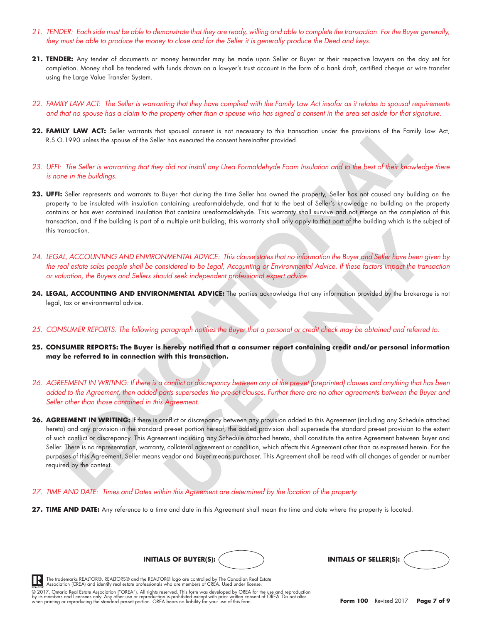- *21. TENDER: Each side must be able to demonstrate that they are ready, willing and able to complete the transaction. For the Buyer generally, they must be able to produce the money to close and for the Seller it is generally produce the Deed and keys.*
- **21. TENDER:** Any tender of documents or money hereunder may be made upon Seller or Buyer or their respective lawyers on the day set for completion. Money shall be tendered with funds drawn on a lawyer's trust account in the form of a bank draft, certified cheque or wire transfer using the Large Value Transfer System.
- *22. FAMILY LAW ACT: The Seller is warranting that they have complied with the Family Law Act insofar as it relates to spousal requirements and that no spouse has a claim to the property other than a spouse who has signed a consent in the area set aside for that signature.*
- **22. FAMILY LAW ACT:** Seller warrants that spousal consent is not necessary to this transaction under the provisions of the Family Law Act, R.S.O.1990 unless the spouse of the Seller has executed the consent hereinafter provided.
- *23. UFFI: The Seller is warranting that they did not install any Urea Formaldehyde Foam Insulation and to the best of their knowledge there is none in the buildings.*
- **23. UFFI:** Seller represents and warrants to Buyer that during the time Seller has owned the property, Seller has not caused any building on the property to be insulated with insulation containing ureaformaldehyde, and that to the best of Seller's knowledge no building on the property contains or has ever contained insulation that contains ureaformaldehyde. This warranty shall survive and not merge on the completion of this transaction, and if the building is part of a multiple unit building, this warranty shall only apply to that part of the building which is the subject of this transaction.
- *24. LEGAL, ACCOUNTING AND ENVIRONMENTAL ADVICE: This clause states that no information the Buyer and Seller have been given by the real estate sales people shall be considered to be Legal, Accounting or Environmental Advice. If these factors impact the transaction or valuation, the Buyers and Sellers should seek independent professional expert advice.*
- **24. LEGAL, ACCOUNTING AND ENVIRONMENTAL ADVICE:** The parties acknowledge that any information provided by the brokerage is not legal, tax or environmental advice.
- *25. CONSUMER REPORTS: The following paragraph notifies the Buyer that a personal or credit check may be obtained and referred to.*
- **25. CONSUMER REPORTS: The Buyer is hereby notified that a consumer report containing credit and/or personal information may be referred to in connection with this transaction.**
- *26. AGREEMENT IN WRITING: If there is a conflict or discrepancy between any of the pre-set (preprinted) clauses and anything that has been added to the Agreement, then added parts supersedes the pre-set clauses. Further there are no other agreements between the Buyer and Seller other than those contained in this Agreement.*
- **ILIV AAM ACT:** Seller warrants that peopal carries is not necessary to this tensaction and is the provisions of the Four<br>The VOLV whole the provision of the Soller has executed the consent hereincher provided.<br>The The Sol NMENTAL ADVICE: This clause states that no information the Buyer and Seller have been sistered to be legal, Accounting or Environmental Advice. If these factors impact the transmissional expert advice.<br>Unlarge for the sele **26. AGREEMENT IN WRITING:** If there is conflict or discrepancy between any provision added to this Agreement (including any Schedule attached hereto) and any provision in the standard pre-set portion hereof, the added provision shall supersede the standard pre-set provision to the extent of such conflict or discrepancy. This Agreement including any Schedule attached hereto, shall constitute the entire Agreement between Buyer and Seller. There is no representation, warranty, collateral agreement or condition, which affects this Agreement other than as expressed herein. For the purposes of this Agreement, Seller means vendor and Buyer means purchaser. This Agreement shall be read with all changes of gender or number required by the context.
- *27. TIME AND DATE: Times and Dates within this Agreement are determined by the location of the property.*
- **27. TIME AND DATE:** Any reference to a time and date in this Agreement shall mean the time and date where the property is located.





The trademarks REALTOR®, REALTORS® and the REALTOR® logo are controlled by The Canadian Real Estate Association (CREA) and identify real estate professionals who are members of CREA. Used under license.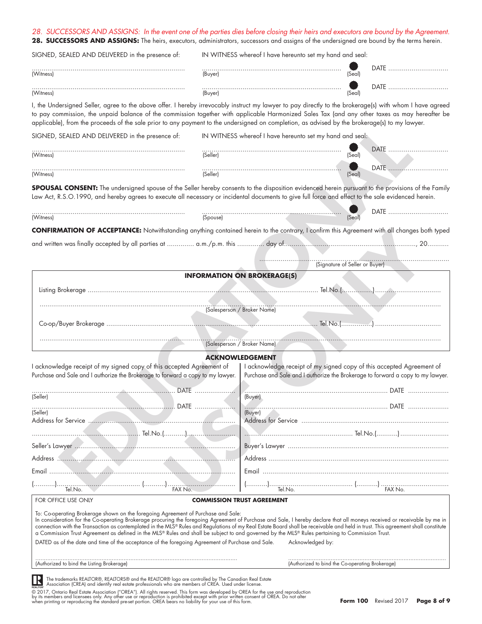#### *28. SUCCESSORS AND ASSIGNS: In the event one of the parties dies before closing their heirs and executors are bound by the Agreement.*

**28. SUCCESSORS AND ASSIGNS:** The heirs, executors, administrators, successors and assigns of the undersigned are bound by the terms herein.

| IN WITNESS whereof I have hereunto set my hand and seal: |        |             |
|----------------------------------------------------------|--------|-------------|
|                                                          |        | <b>DATF</b> |
| 'Buver                                                   |        |             |
| (Buver                                                   | 'Seal) | <b>DATE</b> |
|                                                          |        | 'Seali      |

I, the Undersigned Seller, agree to the above offer. I hereby irrevocably instruct my lawyer to pay directly to the brokerage(s) with whom I have agreed to pay commission, the unpaid balance of the commission together with applicable Harmonized Sales Tax (and any other taxes as may hereafter be applicable), from the proceeds of the sale prior to any payment to the undersigned on completion, as advised by the brokerage(s) to my lawyer.

| SIGNED, SEALED AND DELIVERED in the presence of: | IN WITNESS whereof I have hereunto set my hand and seal: |        |                 |
|--------------------------------------------------|----------------------------------------------------------|--------|-----------------|
|                                                  |                                                          |        | DA <sup>T</sup> |
| (Witness,                                        | 'Seller                                                  | 'Sealı |                 |
|                                                  |                                                          |        |                 |
| (Witness)                                        | Selleı                                                   |        |                 |

|                  |        | . |  |
|------------------|--------|---|--|
| $\mathbf{r}_{1}$ | $\sim$ |   |  |

| ' accepted by all parties .<br>and<br>written<br>was<br>tingliv | a.m. | dav<br>this<br>p.m |  | DΓ |
|-----------------------------------------------------------------|------|--------------------|--|----|
|-----------------------------------------------------------------|------|--------------------|--|----|

|                                    | (Signature of Seller or Buyer) |  |
|------------------------------------|--------------------------------|--|
| <b>INFORMATION ON BROKERAGE(S)</b> |                                |  |
|                                    |                                |  |
|                                    |                                |  |
| (Salesperson / Broker Name)        |                                |  |
|                                    |                                |  |
|                                    |                                |  |
| (Salesperson / Broker Name)        |                                |  |

#### **ACKNOWLEDGEMENT**

| SIGNED, SEALED AND DELIVERED in the presence of:                                                                                                                                                                                                                                                                 |          | IN WITNESS whereof I have hereunto set my hand and seals |                                |                                                                                                                                                          |
|------------------------------------------------------------------------------------------------------------------------------------------------------------------------------------------------------------------------------------------------------------------------------------------------------------------|----------|----------------------------------------------------------|--------------------------------|----------------------------------------------------------------------------------------------------------------------------------------------------------|
|                                                                                                                                                                                                                                                                                                                  |          |                                                          |                                | DATE                                                                                                                                                     |
| (Witness)                                                                                                                                                                                                                                                                                                        | (Seller) |                                                          | (Seal)                         |                                                                                                                                                          |
| (Witness)                                                                                                                                                                                                                                                                                                        | (Seller) |                                                          | (Seal)                         | DATE                                                                                                                                                     |
| <b>SPOUSAL CONSENT:</b> The undersigned spouse of the Seller hereby consents to the disposition evidenced herein pursuant to the provisions of the Family<br>Law Act, R.S.O.1990, and hereby agrees to execute all necessary or incidental documents to give full force and effect to the sale evidenced herein. |          |                                                          |                                |                                                                                                                                                          |
| (Witness)                                                                                                                                                                                                                                                                                                        |          |                                                          | (Seal)                         | DATE                                                                                                                                                     |
| <b>CONFIRMATION OF ACCEPTANCE:</b> Notwithstanding anything contained herein to the contrary, I confirm this Agreement with all changes both typec                                                                                                                                                               |          |                                                          |                                |                                                                                                                                                          |
|                                                                                                                                                                                                                                                                                                                  |          |                                                          |                                |                                                                                                                                                          |
|                                                                                                                                                                                                                                                                                                                  |          |                                                          |                                |                                                                                                                                                          |
|                                                                                                                                                                                                                                                                                                                  |          |                                                          | (Signature of Seller or Buyer) |                                                                                                                                                          |
|                                                                                                                                                                                                                                                                                                                  |          | <b>INFORMATION ON BROKERAGE(S)</b>                       |                                |                                                                                                                                                          |
|                                                                                                                                                                                                                                                                                                                  |          |                                                          |                                |                                                                                                                                                          |
|                                                                                                                                                                                                                                                                                                                  |          | (Salesperson / Broker Name)                              |                                |                                                                                                                                                          |
|                                                                                                                                                                                                                                                                                                                  |          |                                                          |                                |                                                                                                                                                          |
|                                                                                                                                                                                                                                                                                                                  |          |                                                          |                                |                                                                                                                                                          |
|                                                                                                                                                                                                                                                                                                                  |          |                                                          |                                |                                                                                                                                                          |
|                                                                                                                                                                                                                                                                                                                  |          | <b>ACKNOWLEDGEMENT</b>                                   |                                |                                                                                                                                                          |
| I acknowledge receipt of my signed copy of this accepted Agreement of<br>Purchase and Sale and I authorize the Brokerage to forward a copy to my lawyer.                                                                                                                                                         |          |                                                          |                                | I acknowledge receipt of my signed copy of this accepted Agreement of<br>Purchase and Sale and I authorize the Brokerage to forward a copy to my lawyer. |
| <br>(Seller)                                                                                                                                                                                                                                                                                                     |          |                                                          |                                |                                                                                                                                                          |
| (Seller)<br>Seller <i>(Seller )</i>                                                                                                                                                                                                                                                                              |          |                                                          |                                |                                                                                                                                                          |
|                                                                                                                                                                                                                                                                                                                  |          |                                                          |                                |                                                                                                                                                          |
|                                                                                                                                                                                                                                                                                                                  |          |                                                          |                                |                                                                                                                                                          |
|                                                                                                                                                                                                                                                                                                                  |          |                                                          |                                |                                                                                                                                                          |
|                                                                                                                                                                                                                                                                                                                  |          |                                                          |                                |                                                                                                                                                          |
|                                                                                                                                                                                                                                                                                                                  |          |                                                          |                                |                                                                                                                                                          |
|                                                                                                                                                                                                                                                                                                                  |          |                                                          |                                |                                                                                                                                                          |
| FAX No.<br>$C = 1105$ $C = 111$                                                                                                                                                                                                                                                                                  |          |                                                          |                                |                                                                                                                                                          |

#### FOR OFFICE USE ONLY **COMMISSION TRUST AGREEMENT**

To: Co-operating Brokerage shown on the foregoing Agreement of Purchase and Sale: In consideration for the Co-operating Brokerage procuring the foregoing Agreement of Purchase and Sale, I hereby declare that all moneys received or receivable by me in connection with the Transaction as contemplated in the MLS® Rules and Regulations of my Real Estate Board shall be receivable and held in trust. This agreement shall constitute a Commission Trust Agreement as defined in the MLS® Rules and shall be subject to and governed by the MLS® Rules pertaining to Commission Trust. DATED as of the date and time of the acceptance of the foregoing Agreement of Purchase and Sale. Acknowledged by:

....................................................................................................................... ............................................................................................. (Authorized to bind the Listing Brokerage) (Authorized to bind the Co-operating Brokerage)

Щ The trademarks REALTOR®, REALTORS® and the REALTOR® logo are controlled by The Canadian Real Estate Association (CREA) and identify real estate professionals who are members of CREA. Used under license.